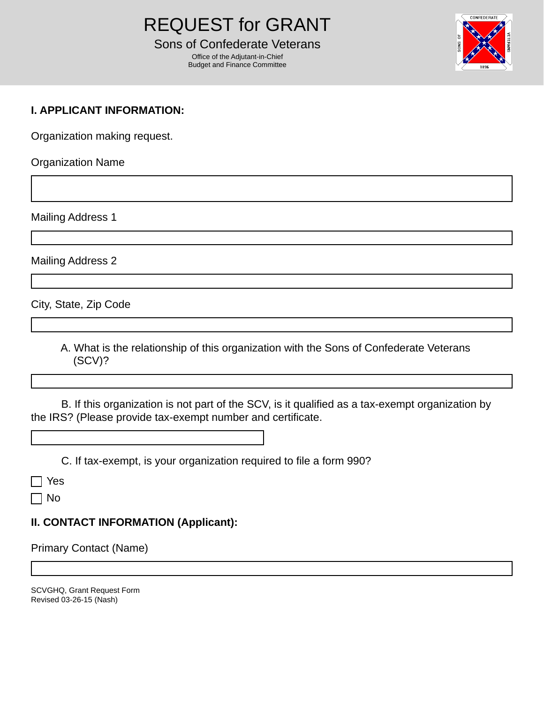Office of the Adjutant-in-Chief Budget and Finance Committee



# **I. APPLICANT INFORMATION:**

Organization making request.

Organization Name

Mailing Address 1

Mailing Address 2

City, State, Zip Code

 A. What is the relationship of this organization with the Sons of Confederate Veterans (SCV)?

 B. If this organization is not part of the SCV, is it qualified as a tax-exempt organization by the IRS? (Please provide tax-exempt number and certificate.

C. If tax-exempt, is your organization required to file a form 990?

Yes

No

# **II. CONTACT INFORMATION (Applicant):**

Primary Contact (Name)

SCVGHQ, Grant Request Form Revised 03-26-15 (Nash)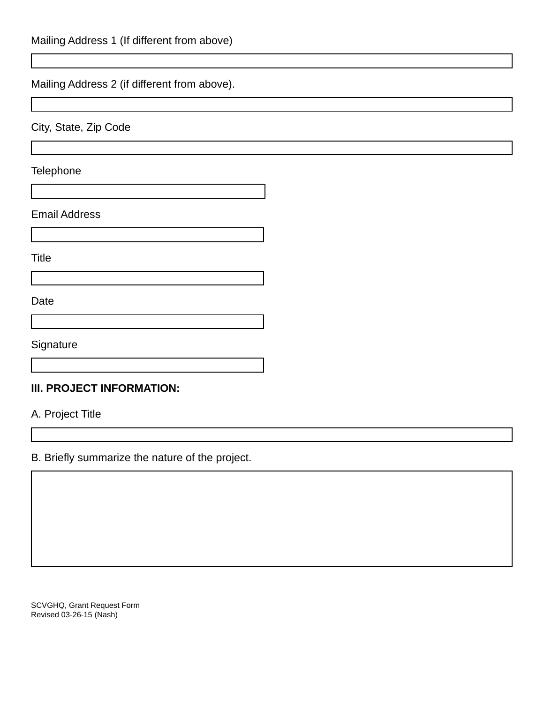# Mailing Address 2 (if different from above).

City, State, Zip Code

**Telephone** 

#### Email Address

**Title** 

Date

**Signature** 

### **III. PROJECT INFORMATION:**

A. Project Title

B. Briefly summarize the nature of the project.

SCVGHQ, Grant Request Form Revised 03-26-15 (Nash)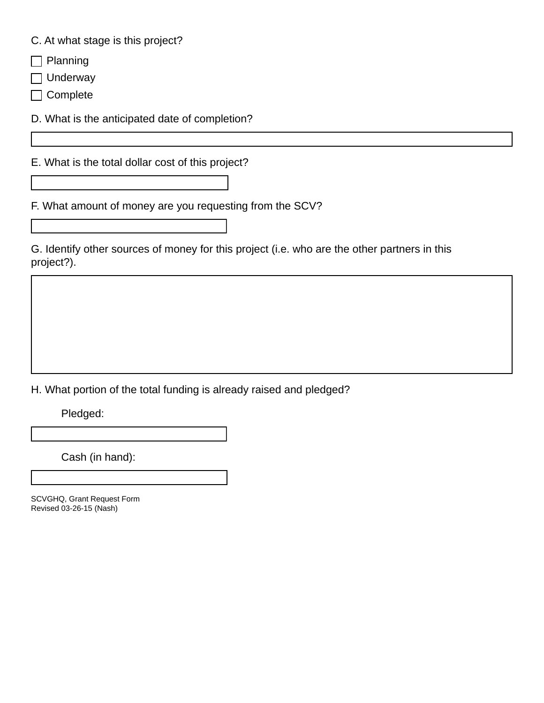C. At what stage is this project?

 $\Box$  Planning

Underway

□ Complete

D. What is the anticipated date of completion?

E. What is the total dollar cost of this project?

F. What amount of money are you requesting from the SCV?

G. Identify other sources of money for this project (i.e. who are the other partners in this project?).

H. What portion of the total funding is already raised and pledged?

Pledged:

Cash (in hand):

SCVGHQ, Grant Request Form Revised 03-26-15 (Nash)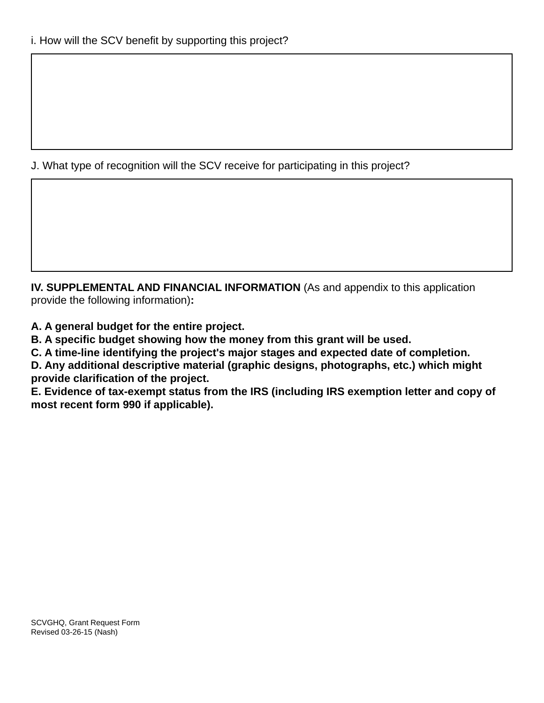J. What type of recognition will the SCV receive for participating in this project?

**IV. SUPPLEMENTAL AND FINANCIAL INFORMATION** (As and appendix to this application provide the following information)**:** 

**A. A general budget for the entire project.** 

**B. A specific budget showing how the money from this grant will be used.** 

**C. A time-line identifying the project's major stages and expected date of completion.** 

**D. Any additional descriptive material (graphic designs, photographs, etc.) which might provide clarification of the project.** 

**E. Evidence of tax-exempt status from the IRS (including IRS exemption letter and copy of most recent form 990 if applicable).**